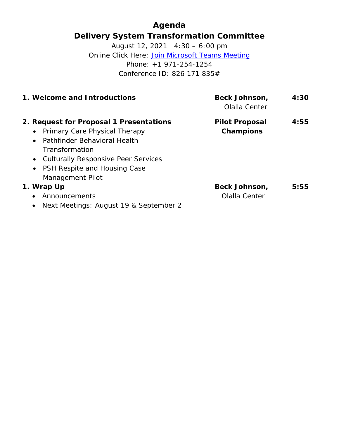## **Agenda Delivery System Transformation Committee**

August 12, 2021 4:30 – 6:00 pm Online Click Here: [Join Microsoft Teams Meeting](https://teams.microsoft.com/l/meetup-join/19%3ameeting_MzljOTZiYjgtYmI4MC00YThhLThkYzQtMGQxMjM3ZWE4NDU3%40thread.v2/0?context=%7b%22Tid%22%3a%228ffc5ea6-dcec-4754-95d8-337958ecb2fc%22%2c%22Oid%22%3a%22a561cadd-8219-424a-92f8-7ba2a46ab139%22%7d) Phone: +1 971-254-1254 Conference ID: 826 171 835#

| 1. Welcome and Introductions                                                                                                                                                                                                             | <b>Beck Johnson,</b><br>Olalla Center     | 4:30 |
|------------------------------------------------------------------------------------------------------------------------------------------------------------------------------------------------------------------------------------------|-------------------------------------------|------|
| 2. Request for Proposal 1 Presentations<br>• Primary Care Physical Therapy<br>Pathfinder Behavioral Health<br>$\bullet$<br>Transformation<br>• Culturally Responsive Peer Services<br>• PSH Respite and Housing Case<br>Management Pilot | <b>Pilot Proposal</b><br><b>Champions</b> | 4:55 |
| 1. Wrap Up<br>Announcements<br>$\bullet$<br>Next Meetings: August 19 & September 2                                                                                                                                                       | Beck Johnson,<br>Olalla Center            | 5:55 |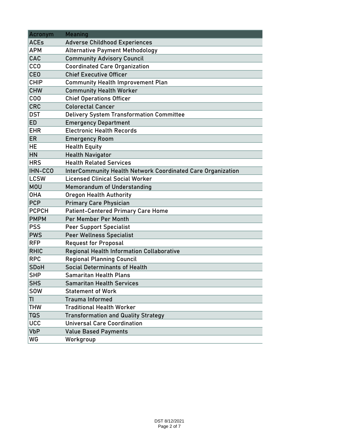| Acronym      | <b>Meaning</b>                                                     |  |  |  |  |  |
|--------------|--------------------------------------------------------------------|--|--|--|--|--|
| <b>ACEs</b>  | <b>Adverse Childhood Experiences</b>                               |  |  |  |  |  |
| <b>APM</b>   | <b>Alternative Payment Methodology</b>                             |  |  |  |  |  |
| CAC          | <b>Community Advisory Council</b>                                  |  |  |  |  |  |
| <b>CCO</b>   | <b>Coordinated Care Organization</b>                               |  |  |  |  |  |
| <b>CEO</b>   | <b>Chief Executive Officer</b>                                     |  |  |  |  |  |
| <b>CHIP</b>  | <b>Community Health Improvement Plan</b>                           |  |  |  |  |  |
| <b>CHW</b>   | <b>Community Health Worker</b>                                     |  |  |  |  |  |
| COO          | <b>Chief Operations Officer</b>                                    |  |  |  |  |  |
| <b>CRC</b>   | <b>Colorectal Cancer</b>                                           |  |  |  |  |  |
| <b>DST</b>   | <b>Delivery System Transformation Committee</b>                    |  |  |  |  |  |
| <b>ED</b>    | <b>Emergency Department</b>                                        |  |  |  |  |  |
| <b>EHR</b>   | <b>Electronic Health Records</b>                                   |  |  |  |  |  |
| <b>ER</b>    | <b>Emergency Room</b>                                              |  |  |  |  |  |
| <b>HE</b>    | <b>Health Equity</b>                                               |  |  |  |  |  |
| HN           | <b>Health Navigator</b>                                            |  |  |  |  |  |
| <b>HRS</b>   | <b>Health Related Services</b>                                     |  |  |  |  |  |
| IHN-CCO      | <b>InterCommunity Health Network Coordinated Care Organization</b> |  |  |  |  |  |
| <b>LCSW</b>  | <b>Licensed Clinical Social Worker</b>                             |  |  |  |  |  |
| <b>MOU</b>   | <b>Memorandum of Understanding</b>                                 |  |  |  |  |  |
| <b>OHA</b>   | <b>Oregon Health Authority</b>                                     |  |  |  |  |  |
| <b>PCP</b>   | <b>Primary Care Physician</b>                                      |  |  |  |  |  |
| <b>PCPCH</b> | <b>Patient-Centered Primary Care Home</b>                          |  |  |  |  |  |
| <b>PMPM</b>  | Per Member Per Month                                               |  |  |  |  |  |
| <b>PSS</b>   | <b>Peer Support Specialist</b>                                     |  |  |  |  |  |
| <b>PWS</b>   | <b>Peer Wellness Specialist</b>                                    |  |  |  |  |  |
| <b>RFP</b>   | <b>Request for Proposal</b>                                        |  |  |  |  |  |
| <b>RHIC</b>  | <b>Regional Health Information Collaborative</b>                   |  |  |  |  |  |
| <b>RPC</b>   | <b>Regional Planning Council</b>                                   |  |  |  |  |  |
| <b>SDoH</b>  | Social Determinants of Health                                      |  |  |  |  |  |
| <b>SHP</b>   | <b>Samaritan Health Plans</b>                                      |  |  |  |  |  |
| <b>SHS</b>   | <b>Samaritan Health Services</b>                                   |  |  |  |  |  |
| <b>SOW</b>   | <b>Statement of Work</b>                                           |  |  |  |  |  |
| TI           | <b>Trauma Informed</b>                                             |  |  |  |  |  |
| <b>THW</b>   | <b>Traditional Health Worker</b>                                   |  |  |  |  |  |
| <b>TQS</b>   | <b>Transformation and Quality Strategy</b>                         |  |  |  |  |  |
| <b>UCC</b>   | <b>Universal Care Coordination</b>                                 |  |  |  |  |  |
| <b>VbP</b>   | <b>Value Based Payments</b>                                        |  |  |  |  |  |
| WG           | Workgroup                                                          |  |  |  |  |  |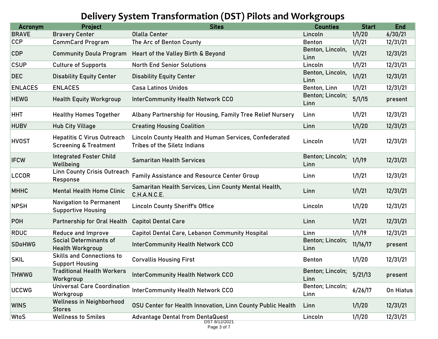## **Delivery System Transformation (DST) Pilots and Workgroups**

| 1/1/20<br>6/30/21<br><b>Bravery Center</b><br><b>Olalla Center</b><br>Lincoln<br>1/1/21<br>12/31/21<br><b>CommCard Program</b><br>The Arc of Benton County<br><b>Benton</b><br>Benton, Lincoln,<br>1/1/21<br>12/31/21<br>Community Doula Program Heart of the Valley Birth & Beyond<br>Linn<br>1/1/21<br>12/31/21<br><b>Culture of Supports</b><br><b>North End Senior Solutions</b><br>Lincoln<br>Benton, Lincoln,<br>1/1/21<br>12/31/21<br><b>Disability Equity Center</b><br><b>Disability Equity Center</b><br>Linn<br>1/1/21<br>12/31/21<br><b>ENLACES</b><br><b>Casa Latinos Unidos</b><br>Benton, Linn<br>Benton; Lincoln;<br>5/1/15<br><b>InterCommunity Health Network CCO</b><br><b>Health Equity Workgroup</b><br>present<br>Linn<br>1/1/21<br>12/31/21<br><b>Healthy Homes Together</b><br>Albany Partnership for Housing, Family Tree Relief Nursery<br>Linn<br>1/1/20<br>12/31/21<br><b>Hub City Village</b><br>Linn<br><b>Creating Housing Coalition</b><br>Lincoln County Health and Human Services, Confederated<br><b>Hepatitis C Virus Outreach</b><br>1/1/21<br>12/31/21<br>Lincoln<br><b>Screening &amp; Treatment</b><br>Tribes of the Siletz Indians<br><b>Integrated Foster Child</b><br>Benton; Lincoln;<br>1/1/19<br>12/31/21<br><b>Samaritan Health Services</b><br>Wellbeing<br>Linn<br><b>Linn County Crisis Outreach</b><br>1/1/21<br>12/31/21<br><b>Family Assistance and Resource Center Group</b><br>Linn<br>Response<br>Samaritan Health Services, Linn County Mental Health,<br>1/1/21<br>12/31/21<br><b>Mental Health Home Clinic</b><br>Linn<br>C.H.A.N.C.E.<br><b>Navigation to Permanent</b><br>1/1/20<br>12/31/21<br><b>Lincoln County Sheriff's Office</b><br>Lincoln<br><b>Supportive Housing</b><br>1/1/21<br>12/31/21<br><b>Capitol Dental Care</b><br>Linn<br>Partnership for Oral Health<br>1/1/19<br>12/31/21<br><b>Reduce and Improve</b><br><b>Capitol Dental Care, Lebanon Community Hospital</b><br>Linn<br><b>Social Determinants of</b><br>Benton; Lincoln;<br>11/16/17<br><b>InterCommunity Health Network CCO</b><br>present<br><b>Health Workgroup</b><br>Linn<br><b>Skills and Connections to</b><br>1/1/20<br>12/31/21<br><b>Corvallis Housing First</b><br><b>Benton</b><br><b>Support Housing</b><br><b>Traditional Health Workers</b><br>Benton; Lincoln;<br>5/21/13<br><b>InterCommunity Health Network CCO</b><br>present<br>Workgroup<br>Linn<br><b>Universal Care Coordination</b><br>Benton; Lincoln;<br><b>InterCommunity Health Network CCO</b><br>6/26/17<br>On Hiatus<br>Workgroup<br>Linn<br><b>Wellness in Neighborhood</b><br>1/1/20<br>12/31/21<br>OSU Center for Health Innovation, Linn County Public Health<br>Linn<br><b>Stores</b><br>1/1/20<br>12/31/21<br><b>Wellness to Smiles</b><br><b>Advantage Dental from DentaQuest</b><br>Lincoln<br>DST 8/12/2021 | <b>Acronym</b> | <b>Project</b> | <b>Sites</b> | <b>Counties</b> | <b>Start</b> | <b>End</b> |
|---------------------------------------------------------------------------------------------------------------------------------------------------------------------------------------------------------------------------------------------------------------------------------------------------------------------------------------------------------------------------------------------------------------------------------------------------------------------------------------------------------------------------------------------------------------------------------------------------------------------------------------------------------------------------------------------------------------------------------------------------------------------------------------------------------------------------------------------------------------------------------------------------------------------------------------------------------------------------------------------------------------------------------------------------------------------------------------------------------------------------------------------------------------------------------------------------------------------------------------------------------------------------------------------------------------------------------------------------------------------------------------------------------------------------------------------------------------------------------------------------------------------------------------------------------------------------------------------------------------------------------------------------------------------------------------------------------------------------------------------------------------------------------------------------------------------------------------------------------------------------------------------------------------------------------------------------------------------------------------------------------------------------------------------------------------------------------------------------------------------------------------------------------------------------------------------------------------------------------------------------------------------------------------------------------------------------------------------------------------------------------------------------------------------------------------------------------------------------------------------------------------------------------------------------------------------------------------------------------------------------------------------------------------------------------------------------------------------------------------------------------------------------------------------------------------------------------------------|----------------|----------------|--------------|-----------------|--------------|------------|
|                                                                                                                                                                                                                                                                                                                                                                                                                                                                                                                                                                                                                                                                                                                                                                                                                                                                                                                                                                                                                                                                                                                                                                                                                                                                                                                                                                                                                                                                                                                                                                                                                                                                                                                                                                                                                                                                                                                                                                                                                                                                                                                                                                                                                                                                                                                                                                                                                                                                                                                                                                                                                                                                                                                                                                                                                                             | <b>BRAVE</b>   |                |              |                 |              |            |
|                                                                                                                                                                                                                                                                                                                                                                                                                                                                                                                                                                                                                                                                                                                                                                                                                                                                                                                                                                                                                                                                                                                                                                                                                                                                                                                                                                                                                                                                                                                                                                                                                                                                                                                                                                                                                                                                                                                                                                                                                                                                                                                                                                                                                                                                                                                                                                                                                                                                                                                                                                                                                                                                                                                                                                                                                                             | <b>CCP</b>     |                |              |                 |              |            |
|                                                                                                                                                                                                                                                                                                                                                                                                                                                                                                                                                                                                                                                                                                                                                                                                                                                                                                                                                                                                                                                                                                                                                                                                                                                                                                                                                                                                                                                                                                                                                                                                                                                                                                                                                                                                                                                                                                                                                                                                                                                                                                                                                                                                                                                                                                                                                                                                                                                                                                                                                                                                                                                                                                                                                                                                                                             | <b>CDP</b>     |                |              |                 |              |            |
|                                                                                                                                                                                                                                                                                                                                                                                                                                                                                                                                                                                                                                                                                                                                                                                                                                                                                                                                                                                                                                                                                                                                                                                                                                                                                                                                                                                                                                                                                                                                                                                                                                                                                                                                                                                                                                                                                                                                                                                                                                                                                                                                                                                                                                                                                                                                                                                                                                                                                                                                                                                                                                                                                                                                                                                                                                             | <b>CSUP</b>    |                |              |                 |              |            |
|                                                                                                                                                                                                                                                                                                                                                                                                                                                                                                                                                                                                                                                                                                                                                                                                                                                                                                                                                                                                                                                                                                                                                                                                                                                                                                                                                                                                                                                                                                                                                                                                                                                                                                                                                                                                                                                                                                                                                                                                                                                                                                                                                                                                                                                                                                                                                                                                                                                                                                                                                                                                                                                                                                                                                                                                                                             | <b>DEC</b>     |                |              |                 |              |            |
|                                                                                                                                                                                                                                                                                                                                                                                                                                                                                                                                                                                                                                                                                                                                                                                                                                                                                                                                                                                                                                                                                                                                                                                                                                                                                                                                                                                                                                                                                                                                                                                                                                                                                                                                                                                                                                                                                                                                                                                                                                                                                                                                                                                                                                                                                                                                                                                                                                                                                                                                                                                                                                                                                                                                                                                                                                             | <b>ENLACES</b> |                |              |                 |              |            |
|                                                                                                                                                                                                                                                                                                                                                                                                                                                                                                                                                                                                                                                                                                                                                                                                                                                                                                                                                                                                                                                                                                                                                                                                                                                                                                                                                                                                                                                                                                                                                                                                                                                                                                                                                                                                                                                                                                                                                                                                                                                                                                                                                                                                                                                                                                                                                                                                                                                                                                                                                                                                                                                                                                                                                                                                                                             | <b>HEWG</b>    |                |              |                 |              |            |
|                                                                                                                                                                                                                                                                                                                                                                                                                                                                                                                                                                                                                                                                                                                                                                                                                                                                                                                                                                                                                                                                                                                                                                                                                                                                                                                                                                                                                                                                                                                                                                                                                                                                                                                                                                                                                                                                                                                                                                                                                                                                                                                                                                                                                                                                                                                                                                                                                                                                                                                                                                                                                                                                                                                                                                                                                                             | <b>HHT</b>     |                |              |                 |              |            |
|                                                                                                                                                                                                                                                                                                                                                                                                                                                                                                                                                                                                                                                                                                                                                                                                                                                                                                                                                                                                                                                                                                                                                                                                                                                                                                                                                                                                                                                                                                                                                                                                                                                                                                                                                                                                                                                                                                                                                                                                                                                                                                                                                                                                                                                                                                                                                                                                                                                                                                                                                                                                                                                                                                                                                                                                                                             | <b>HUBV</b>    |                |              |                 |              |            |
|                                                                                                                                                                                                                                                                                                                                                                                                                                                                                                                                                                                                                                                                                                                                                                                                                                                                                                                                                                                                                                                                                                                                                                                                                                                                                                                                                                                                                                                                                                                                                                                                                                                                                                                                                                                                                                                                                                                                                                                                                                                                                                                                                                                                                                                                                                                                                                                                                                                                                                                                                                                                                                                                                                                                                                                                                                             | <b>HVOST</b>   |                |              |                 |              |            |
|                                                                                                                                                                                                                                                                                                                                                                                                                                                                                                                                                                                                                                                                                                                                                                                                                                                                                                                                                                                                                                                                                                                                                                                                                                                                                                                                                                                                                                                                                                                                                                                                                                                                                                                                                                                                                                                                                                                                                                                                                                                                                                                                                                                                                                                                                                                                                                                                                                                                                                                                                                                                                                                                                                                                                                                                                                             | <b>IFCW</b>    |                |              |                 |              |            |
|                                                                                                                                                                                                                                                                                                                                                                                                                                                                                                                                                                                                                                                                                                                                                                                                                                                                                                                                                                                                                                                                                                                                                                                                                                                                                                                                                                                                                                                                                                                                                                                                                                                                                                                                                                                                                                                                                                                                                                                                                                                                                                                                                                                                                                                                                                                                                                                                                                                                                                                                                                                                                                                                                                                                                                                                                                             | <b>LCCOR</b>   |                |              |                 |              |            |
|                                                                                                                                                                                                                                                                                                                                                                                                                                                                                                                                                                                                                                                                                                                                                                                                                                                                                                                                                                                                                                                                                                                                                                                                                                                                                                                                                                                                                                                                                                                                                                                                                                                                                                                                                                                                                                                                                                                                                                                                                                                                                                                                                                                                                                                                                                                                                                                                                                                                                                                                                                                                                                                                                                                                                                                                                                             | <b>MHHC</b>    |                |              |                 |              |            |
|                                                                                                                                                                                                                                                                                                                                                                                                                                                                                                                                                                                                                                                                                                                                                                                                                                                                                                                                                                                                                                                                                                                                                                                                                                                                                                                                                                                                                                                                                                                                                                                                                                                                                                                                                                                                                                                                                                                                                                                                                                                                                                                                                                                                                                                                                                                                                                                                                                                                                                                                                                                                                                                                                                                                                                                                                                             | <b>NPSH</b>    |                |              |                 |              |            |
|                                                                                                                                                                                                                                                                                                                                                                                                                                                                                                                                                                                                                                                                                                                                                                                                                                                                                                                                                                                                                                                                                                                                                                                                                                                                                                                                                                                                                                                                                                                                                                                                                                                                                                                                                                                                                                                                                                                                                                                                                                                                                                                                                                                                                                                                                                                                                                                                                                                                                                                                                                                                                                                                                                                                                                                                                                             | <b>POH</b>     |                |              |                 |              |            |
|                                                                                                                                                                                                                                                                                                                                                                                                                                                                                                                                                                                                                                                                                                                                                                                                                                                                                                                                                                                                                                                                                                                                                                                                                                                                                                                                                                                                                                                                                                                                                                                                                                                                                                                                                                                                                                                                                                                                                                                                                                                                                                                                                                                                                                                                                                                                                                                                                                                                                                                                                                                                                                                                                                                                                                                                                                             | <b>RDUC</b>    |                |              |                 |              |            |
|                                                                                                                                                                                                                                                                                                                                                                                                                                                                                                                                                                                                                                                                                                                                                                                                                                                                                                                                                                                                                                                                                                                                                                                                                                                                                                                                                                                                                                                                                                                                                                                                                                                                                                                                                                                                                                                                                                                                                                                                                                                                                                                                                                                                                                                                                                                                                                                                                                                                                                                                                                                                                                                                                                                                                                                                                                             | <b>SDoHWG</b>  |                |              |                 |              |            |
|                                                                                                                                                                                                                                                                                                                                                                                                                                                                                                                                                                                                                                                                                                                                                                                                                                                                                                                                                                                                                                                                                                                                                                                                                                                                                                                                                                                                                                                                                                                                                                                                                                                                                                                                                                                                                                                                                                                                                                                                                                                                                                                                                                                                                                                                                                                                                                                                                                                                                                                                                                                                                                                                                                                                                                                                                                             | <b>SKIL</b>    |                |              |                 |              |            |
|                                                                                                                                                                                                                                                                                                                                                                                                                                                                                                                                                                                                                                                                                                                                                                                                                                                                                                                                                                                                                                                                                                                                                                                                                                                                                                                                                                                                                                                                                                                                                                                                                                                                                                                                                                                                                                                                                                                                                                                                                                                                                                                                                                                                                                                                                                                                                                                                                                                                                                                                                                                                                                                                                                                                                                                                                                             | <b>THWWG</b>   |                |              |                 |              |            |
|                                                                                                                                                                                                                                                                                                                                                                                                                                                                                                                                                                                                                                                                                                                                                                                                                                                                                                                                                                                                                                                                                                                                                                                                                                                                                                                                                                                                                                                                                                                                                                                                                                                                                                                                                                                                                                                                                                                                                                                                                                                                                                                                                                                                                                                                                                                                                                                                                                                                                                                                                                                                                                                                                                                                                                                                                                             | <b>UCCWG</b>   |                |              |                 |              |            |
|                                                                                                                                                                                                                                                                                                                                                                                                                                                                                                                                                                                                                                                                                                                                                                                                                                                                                                                                                                                                                                                                                                                                                                                                                                                                                                                                                                                                                                                                                                                                                                                                                                                                                                                                                                                                                                                                                                                                                                                                                                                                                                                                                                                                                                                                                                                                                                                                                                                                                                                                                                                                                                                                                                                                                                                                                                             | <b>WINS</b>    |                |              |                 |              |            |
|                                                                                                                                                                                                                                                                                                                                                                                                                                                                                                                                                                                                                                                                                                                                                                                                                                                                                                                                                                                                                                                                                                                                                                                                                                                                                                                                                                                                                                                                                                                                                                                                                                                                                                                                                                                                                                                                                                                                                                                                                                                                                                                                                                                                                                                                                                                                                                                                                                                                                                                                                                                                                                                                                                                                                                                                                                             | <b>WtoS</b>    |                |              |                 |              |            |

Page 3 of 7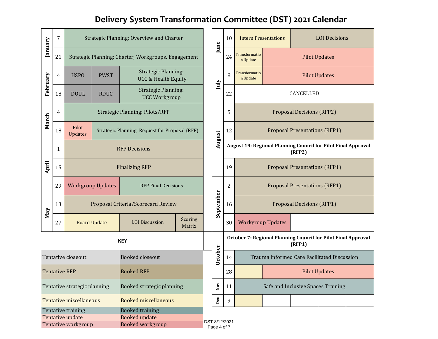# **Delivery System Transformation Committee (DST) 2021 Calendar**

| January                                                                                                                                    | 7                                      | Strategic Planning: Overview and Charter               |                                                                   |                                                              |                   | June                               | 10                                                                      | <b>Intern Presentations</b>                                             |                           | <b>LOI</b> Decisions                 |  |                      |  |
|--------------------------------------------------------------------------------------------------------------------------------------------|----------------------------------------|--------------------------------------------------------|-------------------------------------------------------------------|--------------------------------------------------------------|-------------------|------------------------------------|-------------------------------------------------------------------------|-------------------------------------------------------------------------|---------------------------|--------------------------------------|--|----------------------|--|
|                                                                                                                                            | 21                                     |                                                        |                                                                   | Strategic Planning: Charter, Workgroups, Engagement          |                   |                                    |                                                                         | 24                                                                      | Transformatio<br>n Update | <b>Pilot Updates</b>                 |  |                      |  |
| February                                                                                                                                   | 4                                      | <b>HSPO</b>                                            | <b>PWST</b>                                                       | <b>Strategic Planning:</b><br><b>UCC &amp; Health Equity</b> |                   |                                    | July                                                                    | 8                                                                       | Transformatio<br>n Update |                                      |  | <b>Pilot Updates</b> |  |
|                                                                                                                                            | 18                                     | <b>DOUL</b>                                            | <b>Strategic Planning:</b><br><b>RDUC</b><br><b>UCC Workgroup</b> |                                                              |                   |                                    | 22                                                                      | CANCELLED                                                               |                           |                                      |  |                      |  |
|                                                                                                                                            | 4                                      | <b>Strategic Planning: Pilots/RFP</b>                  |                                                                   |                                                              |                   |                                    | 5                                                                       | <b>Proposal Decisions (RFP2)</b>                                        |                           |                                      |  |                      |  |
|                                                                                                                                            | March<br>Pilot<br>18<br><b>Updates</b> |                                                        |                                                                   | Strategic Planning: Request for Proposal (RFP)               |                   |                                    | August                                                                  | 12                                                                      |                           | <b>Proposal Presentations (RFP1)</b> |  |                      |  |
| April                                                                                                                                      | 1                                      | <b>RFP Decisions</b>                                   |                                                                   |                                                              |                   |                                    |                                                                         | August 19: Regional Planning Council for Pilot Final Approval<br>(RFP2) |                           |                                      |  |                      |  |
|                                                                                                                                            | 15                                     | <b>Finalizing RFP</b>                                  |                                                                   |                                                              |                   |                                    | 19                                                                      |                                                                         |                           | <b>Proposal Presentations (RFP1)</b> |  |                      |  |
|                                                                                                                                            | 29                                     | <b>Workgroup Updates</b><br><b>RFP Final Decisions</b> |                                                                   |                                                              |                   |                                    | $\overline{2}$                                                          | <b>Proposal Presentations (RFP1)</b>                                    |                           |                                      |  |                      |  |
|                                                                                                                                            | 13                                     | Proposal Criteria/Scorecard Review                     |                                                                   |                                                              |                   | September                          | 16                                                                      |                                                                         |                           | <b>Proposal Decisions (RFP1)</b>     |  |                      |  |
| May                                                                                                                                        | 27                                     |                                                        | <b>Board Update</b>                                               | <b>LOI</b> Discussion                                        | Scoring<br>Matrix |                                    |                                                                         | 30                                                                      | <b>Workgroup Updates</b>  |                                      |  |                      |  |
| <b>KEY</b>                                                                                                                                 |                                        |                                                        |                                                                   |                                                              |                   |                                    | October 7: Regional Planning Council for Pilot Final Approval<br>(RFP1) |                                                                         |                           |                                      |  |                      |  |
| Tentative closeout<br><b>Booked closeout</b>                                                                                               |                                        |                                                        |                                                                   |                                                              | October           |                                    | Trauma Informed Care Facilitated Discussion                             |                                                                         |                           |                                      |  |                      |  |
| <b>Booked RFP</b><br><b>Tentative RFP</b>                                                                                                  |                                        |                                                        |                                                                   |                                                              | 28                |                                    |                                                                         |                                                                         | <b>Pilot Updates</b>      |                                      |  |                      |  |
| Booked strategic planning<br>Tentative strategic planning                                                                                  |                                        |                                                        |                                                                   | $_{\rm Nov}$                                                 | 11                | Safe and Inclusive Spaces Training |                                                                         |                                                                         |                           |                                      |  |                      |  |
| <b>Tentative miscellaneous</b><br><b>Booked miscellaneous</b>                                                                              |                                        |                                                        |                                                                   |                                                              | $_{\rm Dec}$      | 9                                  |                                                                         |                                                                         |                           |                                      |  |                      |  |
| <b>Booked training</b><br>Tentative training<br><b>Booked update</b><br>Tentative update<br>Tentative workgroup<br><b>Booked workgroup</b> |                                        |                                                        |                                                                   | DST 8/12/2021                                                | Page 4 of 7       |                                    |                                                                         |                                                                         |                           |                                      |  |                      |  |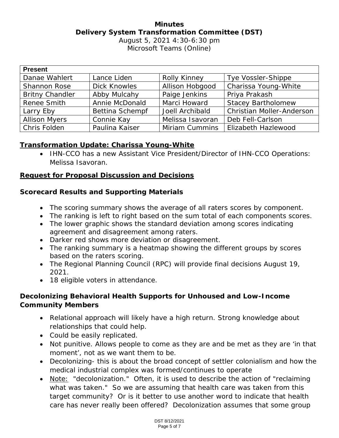#### **Minutes Delivery System Transformation Committee (DST)** August 5, 2021 4:30-6:30 pm

Microsoft Teams (Online)

| <b>Present</b>         |                        |                     |                                  |
|------------------------|------------------------|---------------------|----------------------------------|
| Danae Wahlert          | Lance Liden            | <b>Rolly Kinney</b> | Tye Vossler-Shippe               |
| <b>Shannon Rose</b>    | <b>Dick Knowles</b>    | Allison Hobgood     | Charissa Young-White             |
| <b>Britny Chandler</b> | Abby Mulcahy           | Paige Jenkins       | Priya Prakash                    |
| Renee Smith            | Annie McDonald         | Marci Howard        | <b>Stacey Bartholomew</b>        |
| Larry Eby              | <b>Bettina Schempf</b> | Joell Archibald     | <b>Christian Moller-Anderson</b> |
| <b>Allison Myers</b>   | Connie Kay             | Melissa Isavoran    | Deb Fell-Carlson                 |
| Chris Folden           | Paulina Kaiser         | Miriam Cummins      | <b>Elizabeth Hazlewood</b>       |

#### **Transformation Update: Charissa Young-White**

• IHN-CCO has a new Assistant Vice President/Director of IHN-CCO Operations: Melissa Isavoran.

#### **Request for Proposal Discussion and Decisions**

#### **Scorecard Results and Supporting Materials**

- The scoring summary shows the average of all raters scores by component.
- The ranking is left to right based on the sum total of each components scores.
- The lower graphic shows the standard deviation among scores indicating agreement and disagreement among raters.
- Darker red shows more deviation or disagreement.
- The ranking summary is a heatmap showing the different groups by scores based on the raters scoring.
- The Regional Planning Council (RPC) will provide final decisions August 19, 2021.
- 18 eligible voters in attendance.

#### **Decolonizing Behavioral Health Supports for Unhoused and Low-Income Community Members**

- Relational approach will likely have a high return. Strong knowledge about relationships that could help.
- Could be easily replicated.
- Not punitive. Allows people to come as they are and be met as they are 'in that moment', not as we want them to be.
- Decolonizing- this is about the broad concept of settler colonialism and how the medical industrial complex was formed/continues to operate
- Note: "decolonization." Often, it is used to describe the action of "reclaiming what was taken." So we are assuming that health care was taken from this target community? Or is it better to use another word to indicate that health care has never really been offered? Decolonization assumes that some group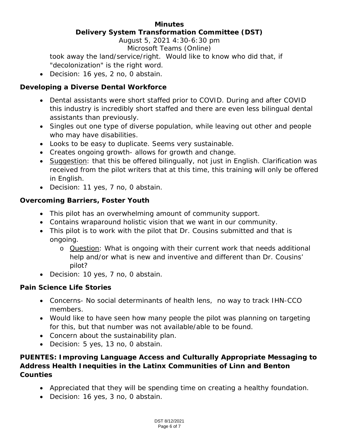#### **Minutes Delivery System Transformation Committee (DST)**

August 5, 2021 4:30-6:30 pm Microsoft Teams (Online)

took away the land/service/right. Would like to know who did that, if "decolonization" is the right word.

• Decision: 16 yes, 2 no, 0 abstain.

#### **Developing a Diverse Dental Workforce**

- Dental assistants were short staffed prior to COVID. During and after COVID this industry is incredibly short staffed and there are even less bilingual dental assistants than previously.
- Singles out one type of diverse population, while leaving out other and people who may have disabilities.
- Looks to be easy to duplicate. Seems very sustainable.
- Creates ongoing growth- allows for growth and change.
- Suggestion: that this be offered bilingually, not just in English. Clarification was received from the pilot writers that at this time, this training will only be offered in English.
- Decision: 11 yes, 7 no, 0 abstain.

### **Overcoming Barriers, Foster Youth**

- This pilot has an overwhelming amount of community support.
- Contains wraparound holistic vision that we want in our community.
- This pilot is to work with the pilot that Dr. Cousins submitted and that is ongoing.
	- o Question: What is ongoing with their current work that needs additional help and/or what is new and inventive and different than Dr. Cousins' pilot?
- Decision: 10 yes, 7 no, 0 abstain.

#### **Pain Science Life Stories**

- Concerns- No social determinants of health lens, no way to track IHN-CCO members.
- Would like to have seen how many people the pilot was planning on targeting for this, but that number was not available/able to be found.
- Concern about the sustainability plan.
- Decision: 5 yes, 13 no, 0 abstain.

#### **PUENTES: Improving Language Access and Culturally Appropriate Messaging to Address Health Inequities in the Latinx Communities of Linn and Benton Counties**

- Appreciated that they will be spending time on creating a healthy foundation.
- Decision: 16 yes, 3 no, 0 abstain.